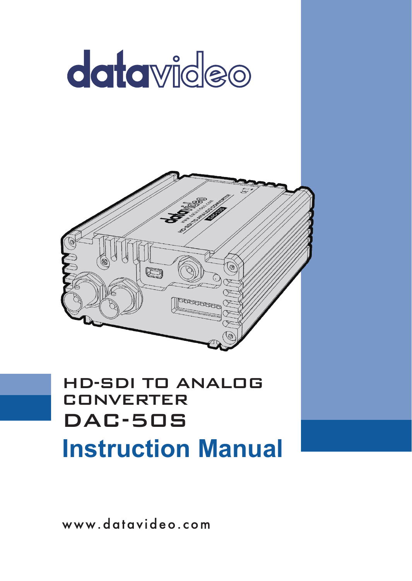

www.datavideo.com

**Instruction Manual**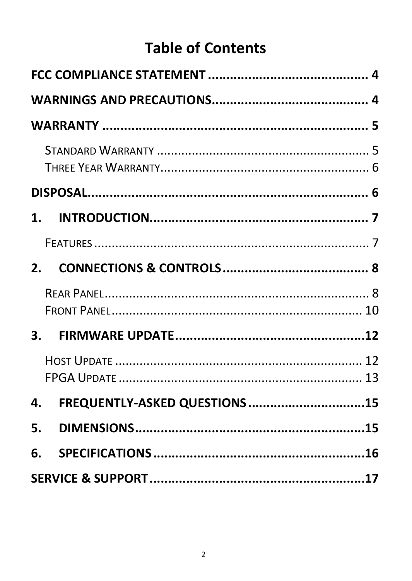# **Table of Contents**

| $1_{-}$      |                              |  |
|--------------|------------------------------|--|
|              |                              |  |
| 2.           |                              |  |
|              |                              |  |
| $\mathbf{3}$ |                              |  |
|              |                              |  |
| 4.           | FREQUENTLY-ASKED QUESTIONS15 |  |
| 5.           |                              |  |
| 6.           |                              |  |
|              |                              |  |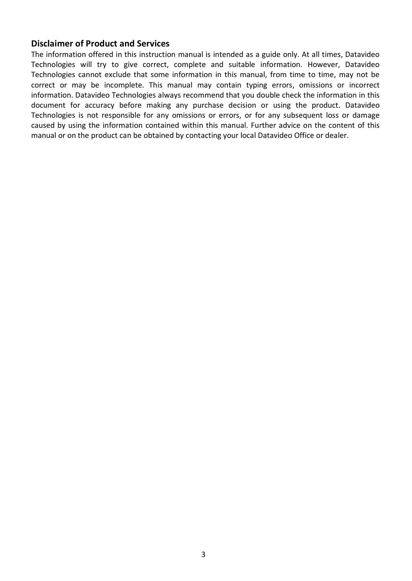#### **Disclaimer of Product and Services**

The information offered in this instruction manual is intended as a guide only. At all times, Datavideo Technologies will try to give correct, complete and suitable information. However, Datavideo Technologies cannot exclude that some information in this manual, from time to time, may not be correct or may be incomplete. This manual may contain typing errors, omissions or incorrect information. Datavideo Technologies always recommend that you double check the information in this document for accuracy before making any purchase decision or using the product. Datavideo Technologies is not responsible for any omissions or errors, or for any subsequent loss or damage caused by using the information contained within this manual. Further advice on the content of this manual or on the product can be obtained by contacting your local Datavideo Office or dealer.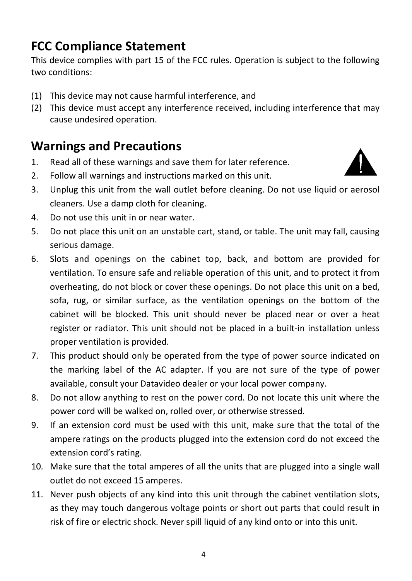### <span id="page-3-0"></span>**FCC Compliance Statement**

This device complies with part 15 of the FCC rules. Operation is subject to the following two conditions:

- (1) This device may not cause harmful interference, and
- (2) This device must accept any interference received, including interference that may cause undesired operation.

#### <span id="page-3-1"></span>**Warnings and Precautions**

- 1. Read all of these warnings and save them for later reference.
- 2. Follow all warnings and instructions marked on this unit.



- 3. Unplug this unit from the wall outlet before cleaning. Do not use liquid or aerosol cleaners. Use a damp cloth for cleaning.
- 4. Do not use this unit in or near water.
- 5. Do not place this unit on an unstable cart, stand, or table. The unit may fall, causing serious damage.
- 6. Slots and openings on the cabinet top, back, and bottom are provided for ventilation. To ensure safe and reliable operation of this unit, and to protect it from overheating, do not block or cover these openings. Do not place this unit on a bed, sofa, rug, or similar surface, as the ventilation openings on the bottom of the cabinet will be blocked. This unit should never be placed near or over a heat register or radiator. This unit should not be placed in a built-in installation unless proper ventilation is provided.
- 7. This product should only be operated from the type of power source indicated on the marking label of the AC adapter. If you are not sure of the type of power available, consult your Datavideo dealer or your local power company.
- 8. Do not allow anything to rest on the power cord. Do not locate this unit where the power cord will be walked on, rolled over, or otherwise stressed.
- 9. If an extension cord must be used with this unit, make sure that the total of the ampere ratings on the products plugged into the extension cord do not exceed the extension cord's rating.
- 10. Make sure that the total amperes of all the units that are plugged into a single wall outlet do not exceed 15 amperes.
- 11. Never push objects of any kind into this unit through the cabinet ventilation slots, as they may touch dangerous voltage points or short out parts that could result in risk of fire or electric shock. Never spill liquid of any kind onto or into this unit.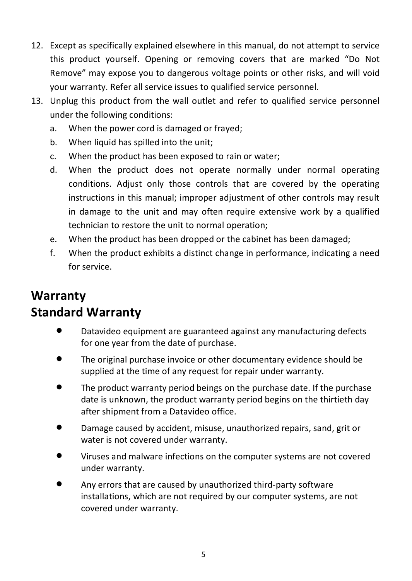- 12. Except as specifically explained elsewhere in this manual, do not attempt to service this product yourself. Opening or removing covers that are marked "Do Not Remove" may expose you to dangerous voltage points or other risks, and will void your warranty. Refer all service issues to qualified service personnel.
- 13. Unplug this product from the wall outlet and refer to qualified service personnel under the following conditions:
	- a. When the power cord is damaged or frayed;
	- b. When liquid has spilled into the unit:
	- c. When the product has been exposed to rain or water;
	- d. When the product does not operate normally under normal operating conditions. Adjust only those controls that are covered by the operating instructions in this manual; improper adjustment of other controls may result in damage to the unit and may often require extensive work by a qualified technician to restore the unit to normal operation;
	- e. When the product has been dropped or the cabinet has been damaged;
	- f. When the product exhibits a distinct change in performance, indicating a need for service.

#### <span id="page-4-1"></span><span id="page-4-0"></span>**Warranty Standard Warranty**

- Datavideo equipment are guaranteed against any manufacturing defects for one year from the date of purchase.
- The original purchase invoice or other documentary evidence should be supplied at the time of any request for repair under warranty.
- The product warranty period beings on the purchase date. If the purchase date is unknown, the product warranty period begins on the thirtieth day after shipment from a Datavideo office.
- Damage caused by accident, misuse, unauthorized repairs, sand, grit or water is not covered under warranty.
- Viruses and malware infections on the computer systems are not covered under warranty.
- Any errors that are caused by unauthorized third-party software installations, which are not required by our computer systems, are not covered under warranty.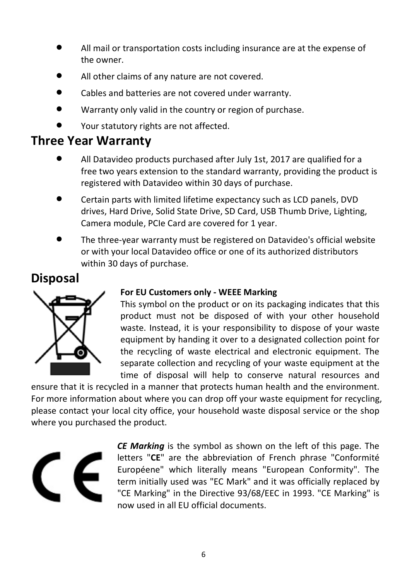- All mail or transportation costs including insurance are at the expense of the owner.
- All other claims of any nature are not covered.
- Cables and batteries are not covered under warranty.
- Warranty only valid in the country or region of purchase.
- Your statutory rights are not affected.

#### <span id="page-5-0"></span>**Three Year Warranty**

- All Datavideo products purchased after July 1st, 2017 are qualified for a free two years extension to the standard warranty, providing the product is registered with Datavideo within 30 days of purchase.
- Certain parts with limited lifetime expectancy such as LCD panels, DVD drives, Hard Drive, Solid State Drive, SD Card, USB Thumb Drive, Lighting, Camera module, PCIe Card are covered for 1 year.
- The three-year warranty must be registered on Datavideo's official website or with your local Datavideo office or one of its authorized distributors within 30 days of purchase.

## <span id="page-5-1"></span>**Disposal**



#### **For EU Customers only - WEEE Marking**

This symbol on the product or on its packaging indicates that this product must not be disposed of with your other household waste. Instead, it is your responsibility to dispose of your waste equipment by handing it over to a designated collection point for the recycling of waste electrical and electronic equipment. The separate collection and recycling of your waste equipment at the time of disposal will help to conserve natural resources and

ensure that it is recycled in a manner that protects human health and the environment. For more information about where you can drop off your waste equipment for recycling, please contact your local city office, your household waste disposal service or the shop where you purchased the product.



*CE Marking* is the symbol as shown on the left of this page. The letters "**CE**" are the abbreviation of French phrase "Conformité Européene" which literally means "European Conformity". The term initially used was "EC Mark" and it was officially replaced by "CE Marking" in the Directive 93/68/EEC in 1993. "CE Marking" is now used in all EU official documents.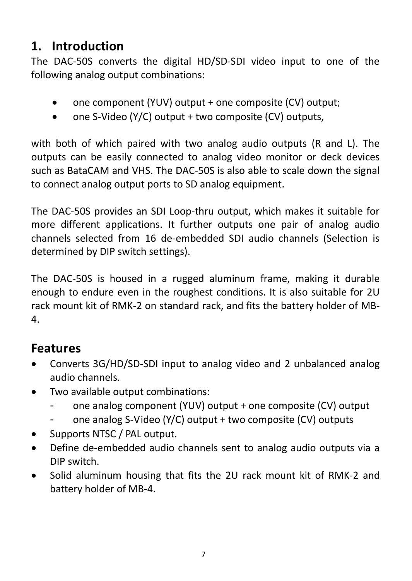#### <span id="page-6-0"></span>**1. Introduction**

The DAC-50S converts the digital HD/SD-SDI video input to one of the following analog output combinations:

- one component (YUV) output + one composite (CV) output;
- one S-Video (Y/C) output + two composite (CV) outputs,

with both of which paired with two analog audio outputs (R and L). The outputs can be easily connected to analog video monitor or deck devices such as BataCAM and VHS. The DAC-50S is also able to scale down the signal to connect analog output ports to SD analog equipment.

The DAC-50S provides an SDI Loop-thru output, which makes it suitable for more different applications. It further outputs one pair of analog audio channels selected from 16 de-embedded SDI audio channels (Selection is determined by DIP switch settings).

The DAC-50S is housed in a rugged aluminum frame, making it durable enough to endure even in the roughest conditions. It is also suitable for 2U rack mount kit of RMK-2 on standard rack, and fits the battery holder of MB-4.

## <span id="page-6-1"></span>**Features**

- Converts 3G/HD/SD-SDI input to analog video and 2 unbalanced analog audio channels.
- Two available output combinations:
	- one analog component (YUV) output + one composite (CV) output
	- one analog S-Video (Y/C) output + two composite (CV) outputs
- Supports NTSC / PAL output.
- Define de-embedded audio channels sent to analog audio outputs via a DIP switch.
- Solid aluminum housing that fits the 2U rack mount kit of RMK-2 and battery holder of MB-4.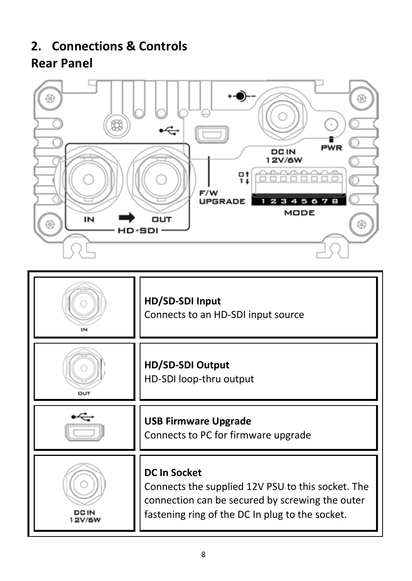## <span id="page-7-1"></span><span id="page-7-0"></span>**2. Connections & Controls Rear Panel**



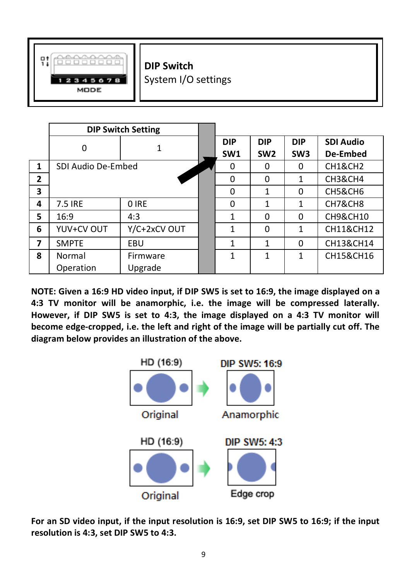

**DIP Switch**

System I/O settings

|                | <b>DIP Switch Setting</b> |              |  |                 |                 |                 |                     |
|----------------|---------------------------|--------------|--|-----------------|-----------------|-----------------|---------------------|
|                | O                         |              |  | <b>DIP</b>      | <b>DIP</b>      | <b>DIP</b>      | <b>SDI Audio</b>    |
|                |                           |              |  | SW <sub>1</sub> | SW <sub>2</sub> | SW <sub>3</sub> | De-Embed            |
| $\mathbf{1}$   | SDI Audio De-Embed        |              |  | $\Omega$        | $\Omega$        | $\Omega$        | <b>CH1&amp;CH2</b>  |
| $\overline{2}$ |                           |              |  | $\Omega$        | $\Omega$        | 1               | <b>CH3&amp;CH4</b>  |
| 3              |                           |              |  | $\Omega$        | 1               | $\Omega$        | <b>CH5&amp;CH6</b>  |
| 4              | 7.5 IRE                   | 0 IRE        |  | $\Omega$        | 1               | 1               | CH7&CH8             |
| 5              | 16:9                      | 4:3          |  | $\mathbf{1}$    | $\Omega$        | $\Omega$        | <b>CH9&amp;CH10</b> |
| 6              | YUV+CV OUT                | Y/C+2xCV OUT |  | $\mathbf{1}$    | $\Omega$        | 1               | CH11&CH12           |
| 7              | <b>SMPTE</b>              | EBU          |  | 1               | 1               | $\Omega$        | CH13&CH14           |
| 8              | Normal                    | Firmware     |  | 1               | 1               | 1               | CH15&CH16           |
|                | Operation                 | Upgrade      |  |                 |                 |                 |                     |

**NOTE: Given a 16:9 HD video input, if DIP SW5 is set to 16:9, the image displayed on a 4:3 TV monitor will be anamorphic, i.e. the image will be compressed laterally. However, if DIP SW5 is set to 4:3, the image displayed on a 4:3 TV monitor will become edge-cropped, i.e. the left and right of the image will be partially cut off. The diagram below provides an illustration of the above.** 



**For an SD video input, if the input resolution is 16:9, set DIP SW5 to 16:9; if the input resolution is 4:3, set DIP SW5 to 4:3.**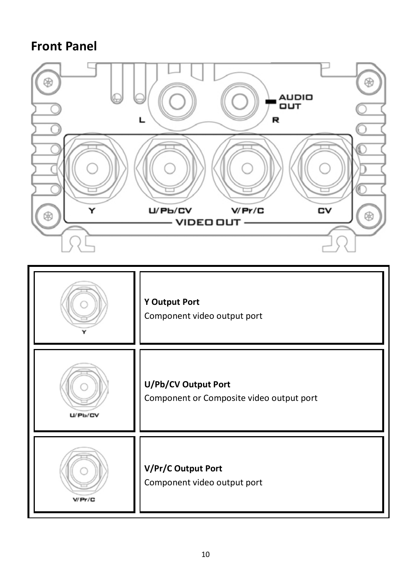## <span id="page-9-0"></span>**Front Panel**



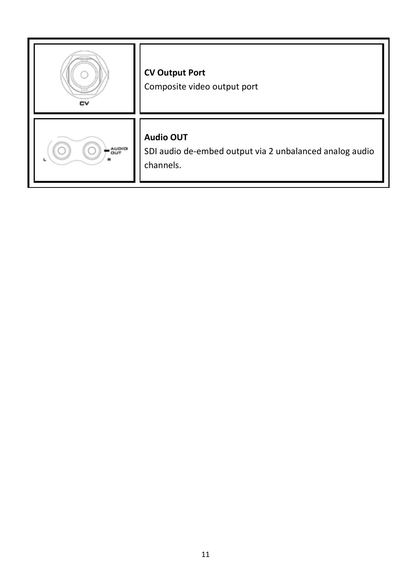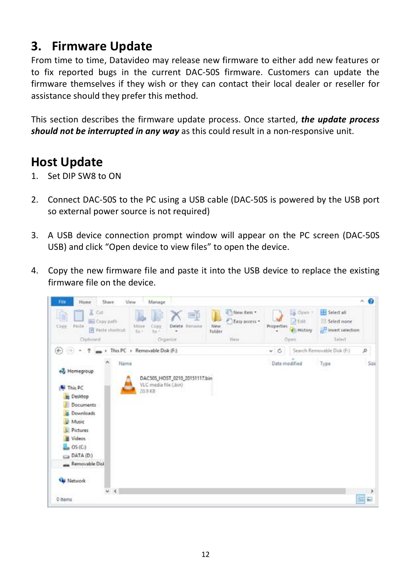#### <span id="page-11-0"></span>**3. Firmware Update**

From time to time, Datavideo may release new firmware to either add new features or to fix reported bugs in the current DAC-50S firmware. Customers can update the firmware themselves if they wish or they can contact their local dealer or reseller for assistance should they prefer this method.

This section describes the firmware update process. Once started, *the update process should not be interrupted in any way* as this could result in a non-responsive unit.

### <span id="page-11-1"></span>**Host Update**

- 1. Set DIP SW8 to ON
- 2. Connect DAC-50S to the PC using a USB cable (DAC-50S is powered by the USB port so external power source is not required)
- 3. A USB device connection prompt window will appear on the PC screen (DAC-50S USB) and click "Open device to view files" to open the device.
- 4. Copy the new firmware file and paste it into the USB device to replace the existing firmware file on the device.

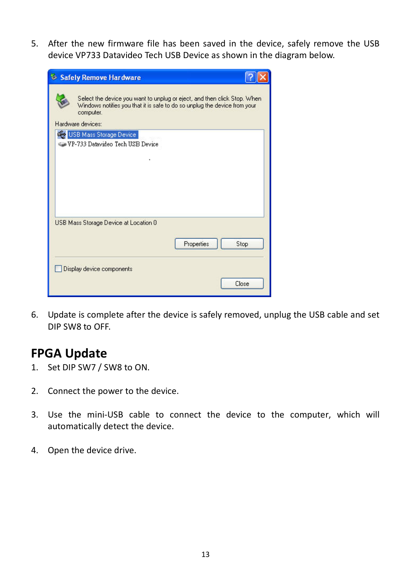5. After the new firmware file has been saved in the device, safely remove the USB device VP733 Datavideo Tech USB Device as shown in the diagram below.

| Safely Remove Hardware                                                                                                                                             |       |  |  |  |  |
|--------------------------------------------------------------------------------------------------------------------------------------------------------------------|-------|--|--|--|--|
| Select the device you want to unplug or eject, and then click Stop. When<br>Windows notifies you that it is safe to do so unplug the device from your<br>computer. |       |  |  |  |  |
| Hardware devices:                                                                                                                                                  |       |  |  |  |  |
| <b>CHO USB Mass Storage Device</b><br>VP-733 Datavideo Tech USB Device                                                                                             |       |  |  |  |  |
| USB Mass Storage Device at Location 0                                                                                                                              |       |  |  |  |  |
| Properties                                                                                                                                                         | Stop  |  |  |  |  |
| Display device components                                                                                                                                          |       |  |  |  |  |
|                                                                                                                                                                    | Close |  |  |  |  |

6. Update is complete after the device is safely removed, unplug the USB cable and set DIP SW8 to OFF.

#### <span id="page-12-0"></span>**FPGA Update**

- 1. Set DIP SW7 / SW8 to ON.
- 2. Connect the power to the device.
- 3. Use the mini-USB cable to connect the device to the computer, which will automatically detect the device.
- 4. Open the device drive.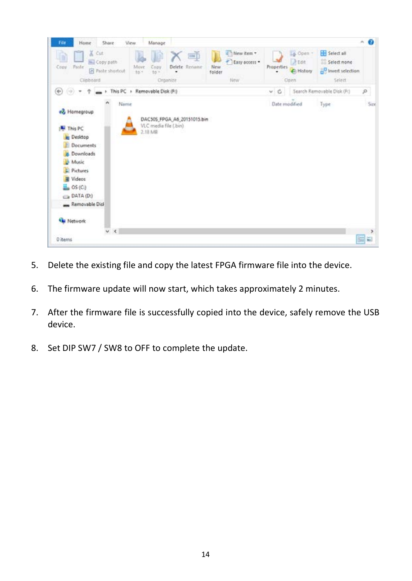| File<br>Home<br>Share                                                                                                                                                                              | View<br>Manage                                                                 |                                                     |                                                                             |                                                                        | $\sim$ 0            |
|----------------------------------------------------------------------------------------------------------------------------------------------------------------------------------------------------|--------------------------------------------------------------------------------|-----------------------------------------------------|-----------------------------------------------------------------------------|------------------------------------------------------------------------|---------------------|
| & Cut<br>u<br>ш<br>Copy path<br>Paste<br>Copy<br>el Paste shortoit<br>Clinboard                                                                                                                    | 画<br>Delete Rename<br>Move<br>Copy<br>to -<br>$16$ $^{\circ}$<br>٠<br>Organize | New item +<br>Easy access .<br>New<br>folder<br>New | La Open -<br>At<br><b>Properties</b><br><sup>C</sup> History<br><b>Open</b> | <b>Hill</b> Select all<br>Select none<br>to Invert selection<br>Select |                     |
| $\circledast$<br>$(\varphi)$<br>÷<br>٠                                                                                                                                                             | > This PC > Removable Disk (F:)                                                |                                                     | V C                                                                         | Search Removable Disk (F:)                                             | P                   |
| $\boldsymbol{\kappa}$<br>Name<br>+& Homegroup<br>This PC<br><b>Desktop</b><br>Documents<br>Downloads<br>Music<br>$E$ Pictures<br><b>Wideos</b><br>DATA (D.)<br>Removable Disk<br><b>Eu Network</b> | DAC50S FPGA A6 20151015.bin<br>VLC media file (.bin)<br>2.18 MB                |                                                     | Date modified                                                               | Type                                                                   | Size                |
| V<<br>0 items                                                                                                                                                                                      |                                                                                |                                                     |                                                                             |                                                                        | $\rightarrow$<br>园园 |

- 5. Delete the existing file and copy the latest FPGA firmware file into the device.
- 6. The firmware update will now start, which takes approximately 2 minutes.
- 7. After the firmware file is successfully copied into the device, safely remove the USB device.
- 8. Set DIP SW7 / SW8 to OFF to complete the update.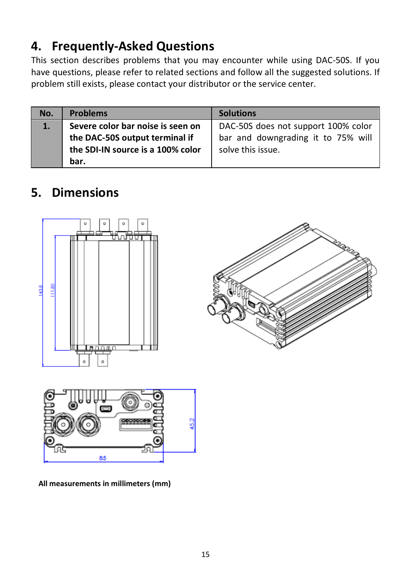## <span id="page-14-0"></span>**4. Frequently-Asked Questions**

This section describes problems that you may encounter while using DAC-50S. If you have questions, please refer to related sections and follow all the suggested solutions. If problem still exists, please contact your distributor or the service center.

| No. | <b>Problems</b>                                                                                          | <b>Solutions</b>                                                                               |
|-----|----------------------------------------------------------------------------------------------------------|------------------------------------------------------------------------------------------------|
| 1.  | Severe color bar noise is seen on<br>the DAC-50S output terminal if<br>the SDI-IN source is a 100% color | DAC-50S does not support 100% color<br>bar and downgrading it to 75% will<br>solve this issue. |
|     | bar.                                                                                                     |                                                                                                |

## <span id="page-14-1"></span>**5. Dimensions**







**All measurements in millimeters (mm)**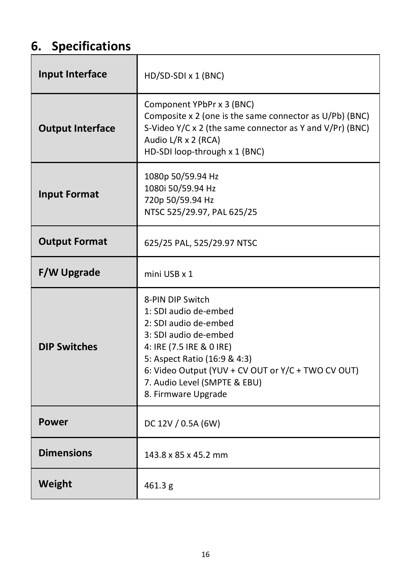## <span id="page-15-0"></span>**6. Specifications**

| Input Interface         | HD/SD-SDI x 1 (BNC)                                                                                                                                                                                                                                                  |  |  |  |
|-------------------------|----------------------------------------------------------------------------------------------------------------------------------------------------------------------------------------------------------------------------------------------------------------------|--|--|--|
| <b>Output Interface</b> | Component YPbPr x 3 (BNC)<br>Composite x 2 (one is the same connector as U/Pb) (BNC)<br>S-Video Y/C x 2 (the same connector as Y and V/Pr) (BNC)<br>Audio L/R x 2 (RCA)<br>HD-SDI loop-through x 1 (BNC)                                                             |  |  |  |
| <b>Input Format</b>     | 1080p 50/59.94 Hz<br>1080i 50/59.94 Hz<br>720p 50/59.94 Hz<br>NTSC 525/29.97, PAL 625/25                                                                                                                                                                             |  |  |  |
| <b>Output Format</b>    | 625/25 PAL, 525/29.97 NTSC                                                                                                                                                                                                                                           |  |  |  |
| <b>F/W Upgrade</b>      | mini USB x 1                                                                                                                                                                                                                                                         |  |  |  |
| <b>DIP Switches</b>     | 8-PIN DIP Switch<br>1: SDI audio de-embed<br>2: SDI audio de-embed<br>3: SDI audio de-embed<br>4: IRE (7.5 IRE & 0 IRE)<br>5: Aspect Ratio (16:9 & 4:3)<br>6: Video Output (YUV + CV OUT or Y/C + TWO CV OUT)<br>7. Audio Level (SMPTE & EBU)<br>8. Firmware Upgrade |  |  |  |
| Power                   | DC 12V / 0.5A (6W)                                                                                                                                                                                                                                                   |  |  |  |
| <b>Dimensions</b>       | 143.8 x 85 x 45.2 mm                                                                                                                                                                                                                                                 |  |  |  |
| Weight                  | 461.3 g                                                                                                                                                                                                                                                              |  |  |  |